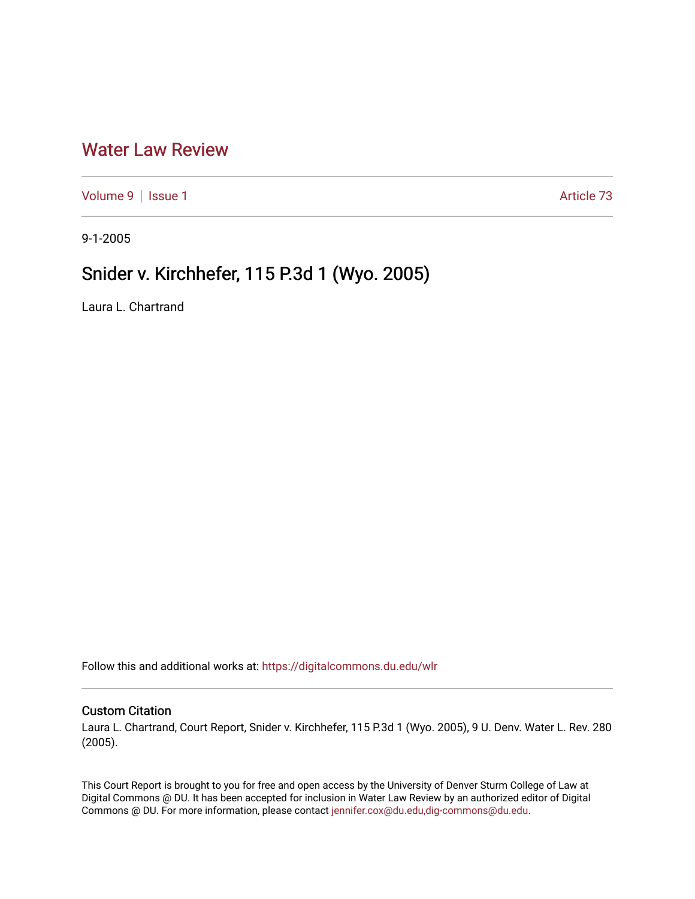## [Water Law Review](https://digitalcommons.du.edu/wlr)

[Volume 9](https://digitalcommons.du.edu/wlr/vol9) | [Issue 1](https://digitalcommons.du.edu/wlr/vol9/iss1) Article 73

9-1-2005

# Snider v. Kirchhefer, 115 P.3d 1 (Wyo. 2005)

Laura L. Chartrand

Follow this and additional works at: [https://digitalcommons.du.edu/wlr](https://digitalcommons.du.edu/wlr?utm_source=digitalcommons.du.edu%2Fwlr%2Fvol9%2Fiss1%2F73&utm_medium=PDF&utm_campaign=PDFCoverPages) 

## Custom Citation

Laura L. Chartrand, Court Report, Snider v. Kirchhefer, 115 P.3d 1 (Wyo. 2005), 9 U. Denv. Water L. Rev. 280 (2005).

This Court Report is brought to you for free and open access by the University of Denver Sturm College of Law at Digital Commons @ DU. It has been accepted for inclusion in Water Law Review by an authorized editor of Digital Commons @ DU. For more information, please contact [jennifer.cox@du.edu,dig-commons@du.edu.](mailto:jennifer.cox@du.edu,dig-commons@du.edu)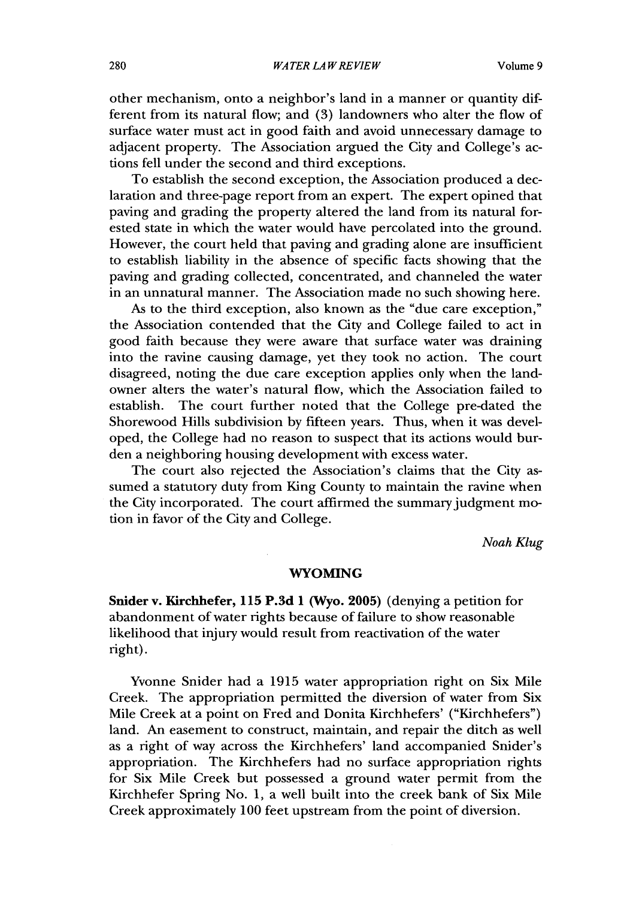other mechanism, onto a neighbor's land in a manner or quantity different from its natural flow; and (3) landowners who alter the flow of surface water must act in good faith and avoid unnecessary damage to adjacent property. The Association argued the City and College's actions fell under the second and third exceptions.

To establish the second exception, the Association produced a declaration and three-page report from an expert. The expert opined that paving and grading the property altered the land from its natural forested state in which the water would have percolated into the ground. However, the court held that paving and grading alone are insufficient to establish liability in the absence of specific facts showing that the paving and grading collected, concentrated, and channeled the water in an unnatural manner. The Association made no such showing here.

As to the third exception, also known as the "due care exception," the Association contended that the City and College failed to act in good faith because they were aware that surface water was draining into the ravine causing damage, yet they took no action. The court disagreed, noting the due care exception applies only when the landowner alters the water's natural flow, which the Association failed to establish. The court further noted that the College pre-dated the Shorewood Hills subdivision by fifteen years. Thus, when it was developed, the College had no reason to suspect that its actions would burden a neighboring housing development with excess water.

The court also rejected the Association's claims that the City assumed a statutory duty from King County to maintain the ravine when the City incorporated. The court affirmed the summary judgment motion in favor of the City and College.

*Noah Klug*

#### **WYOMING**

**Snider v. Kirchhefer, 115 P.3d 1 (Wyo. 2005)** (denying a petition for abandonment of water rights because of failure to show reasonable likelihood that injury would result from reactivation of the water right).

Yvonne Snider had a **1915** water appropriation right on Six Mile Creek. The appropriation permitted the diversion of water from Six Mile Creek at a point on Fred and Donita Kirchhefers' ("Kirchhefers") land. An easement to construct, maintain, and repair the ditch as well as a right of way across the Kirchhefers' land accompanied Snider's appropriation. The Kirchhefers had no surface appropriation rights for Six Mile Creek but possessed a ground water permit from the Kirchhefer Spring No. **1,** a well built into the creek bank of Six Mile Creek approximately **100** feet upstream from the point of diversion.